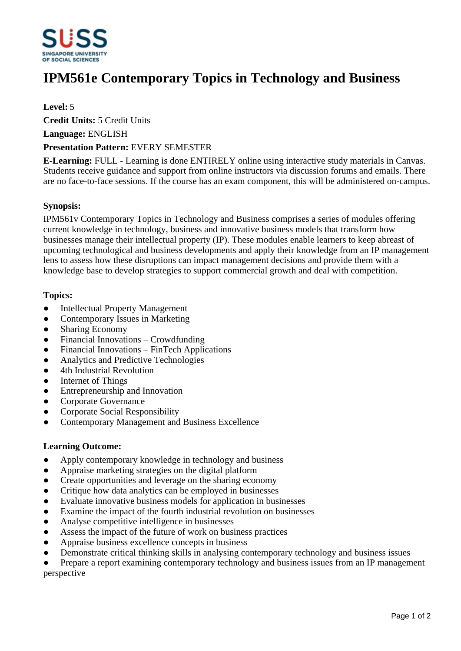

# **IPM561e Contemporary Topics in Technology and Business**

### **Level:** 5

**Credit Units:** 5 Credit Units

**Language:** ENGLISH

#### **Presentation Pattern:** EVERY SEMESTER

**E-Learning:** FULL - Learning is done ENTIRELY online using interactive study materials in Canvas. Students receive guidance and support from online instructors via discussion forums and emails. There are no face-to-face sessions. If the course has an exam component, this will be administered on-campus.

#### **Synopsis:**

IPM561v Contemporary Topics in Technology and Business comprises a series of modules offering current knowledge in technology, business and innovative business models that transform how businesses manage their intellectual property (IP). These modules enable learners to keep abreast of upcoming technological and business developments and apply their knowledge from an IP management lens to assess how these disruptions can impact management decisions and provide them with a knowledge base to develop strategies to support commercial growth and deal with competition.

#### **Topics:**

- Intellectual Property Management
- Contemporary Issues in Marketing
- Sharing Economy
- Financial Innovations Crowdfunding
- $\bullet$  Financial Innovations FinTech Applications
- Analytics and Predictive Technologies
- 4th Industrial Revolution
- Internet of Things
- Entrepreneurship and Innovation
- ƔCorporate Governance
- Corporate Social Responsibility
- ƔContemporary Management and Business Excellence

#### **Learning Outcome:**

- Apply contemporary knowledge in technology and business
- Appraise marketing strategies on the digital platform
- Create opportunities and leverage on the sharing economy
- Critique how data analytics can be employed in businesses
- Evaluate innovative business models for application in businesses
- Examine the impact of the fourth industrial revolution on businesses
- Analyse competitive intelligence in businesses
- Assess the impact of the future of work on business practices
- Appraise business excellence concepts in business
- Demonstrate critical thinking skills in analysing contemporary technology and business issues

Prepare a report examining contemporary technology and business issues from an IP management perspective